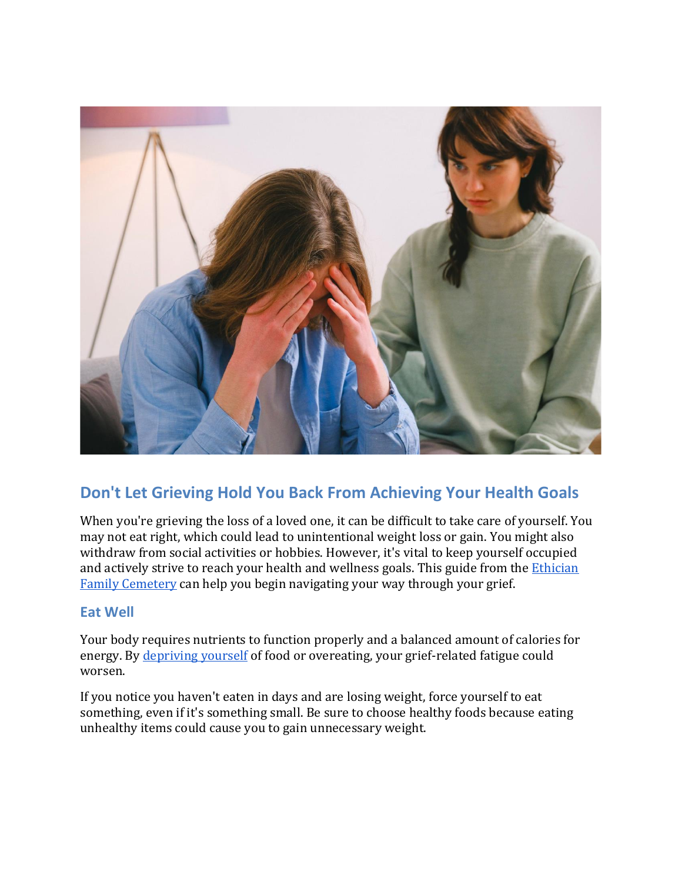

# **Don't Let Grieving Hold You Back From Achieving Your Health Goals**

When you're grieving the loss of a loved one, it can be difficult to take care of yourself. You may not eat right, which could lead to unintentional weight loss or gain. You might also withdraw from social activities or hobbies. However, it's vital to keep yourself occupied and actively strive to reach your health and wellness goals. This guide from the *Ethician* [Family Cemetery](https://ethicianfamilycemetery.org/) can help you begin navigating your way through your grief.

## **Eat Well**

Your body requires nutrients to function properly and a balanced amount of calories for energy. By [depriving yourself](https://www.betterplaceforests.com/blog/articles/diet-can-impact-the-way-you-cope-with-grief/) of food or overeating, your grief-related fatigue could worsen.

If you notice you haven't eaten in days and are losing weight, force yourself to eat something, even if it's something small. Be sure to choose healthy foods because eating unhealthy items could cause you to gain unnecessary weight.